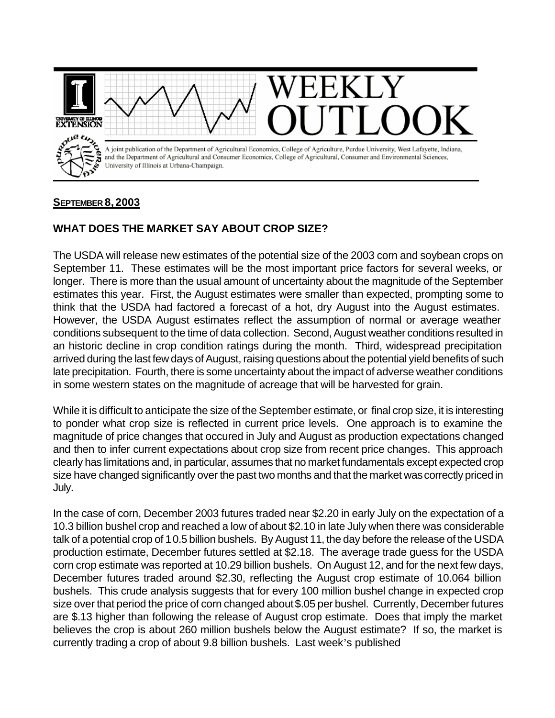

## **SEPTEMBER 8, 2003**

## **WHAT DOES THE MARKET SAY ABOUT CROP SIZE?**

The USDA will release new estimates of the potential size of the 2003 corn and soybean crops on September 11. These estimates will be the most important price factors for several weeks, or longer. There is more than the usual amount of uncertainty about the magnitude of the September estimates this year. First, the August estimates were smaller than expected, prompting some to think that the USDA had factored a forecast of a hot, dry August into the August estimates. However, the USDA August estimates reflect the assumption of normal or average weather conditions subsequent to the time of data collection. Second, August weather conditions resulted in an historic decline in crop condition ratings during the month. Third, widespread precipitation arrived during the last few days of August, raising questions about the potential yield benefits of such late precipitation. Fourth, there is some uncertainty about the impact of adverse weather conditions in some western states on the magnitude of acreage that will be harvested for grain.

While it is difficult to anticipate the size of the September estimate, or final crop size, it is interesting to ponder what crop size is reflected in current price levels. One approach is to examine the magnitude of price changes that occured in July and August as production expectations changed and then to infer current expectations about crop size from recent price changes. This approach clearly has limitations and, in particular, assumes that no market fundamentals except expected crop size have changed significantly over the past two months and that the market was correctly priced in July.

In the case of corn, December 2003 futures traded near \$2.20 in early July on the expectation of a 10.3 billion bushel crop and reached a low of about \$2.10 in late July when there was considerable talk of a potential crop of 10.5 billion bushels. By August 11, the day before the release of the USDA production estimate, December futures settled at \$2.18. The average trade guess for the USDA corn crop estimate was reported at 10.29 billion bushels. On August 12, and for the next few days, December futures traded around \$2.30, reflecting the August crop estimate of 10.064 billion bushels. This crude analysis suggests that for every 100 million bushel change in expected crop size over that period the price of corn changed about \$.05 per bushel. Currently, December futures are \$.13 higher than following the release of August crop estimate. Does that imply the market believes the crop is about 260 million bushels below the August estimate? If so, the market is currently trading a crop of about 9.8 billion bushels. Last week's published